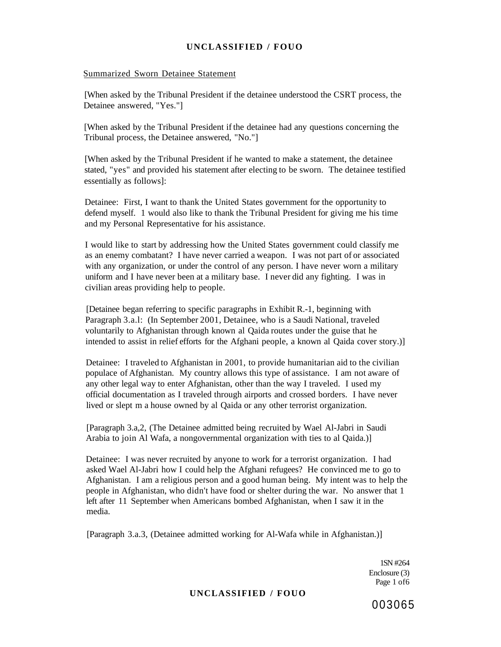#### Summarized Sworn Detainee Statement

[When asked by the Tribunal President if the detainee understood the CSRT process, the Detainee answered, "Yes."]

[When asked by the Tribunal President if the detainee had any questions concerning the Tribunal process, the Detainee answered, "No."]

[When asked by the Tribunal President if he wanted to make a statement, the detainee stated, "yes" and provided his statement after electing to be sworn. The detainee testified essentially as follows]:

Detainee: First, I want to thank the United States government for the opportunity to defend myself. 1 would also like to thank the Tribunal President for giving me his time and my Personal Representative for his assistance.

I would like to start by addressing how the United States government could classify me as an enemy combatant? I have never carried a weapon. I was not part of or associated with any organization, or under the control of any person. I have never worn a military uniform and I have never been at a military base. I never did any fighting. I was in civilian areas providing help to people.

[Detainee began referring to specific paragraphs in Exhibit R.-1, beginning with Paragraph 3.a.l: (In September 2001, Detainee, who is a Saudi National, traveled voluntarily to Afghanistan through known al Qaida routes under the guise that he intended to assist in relief efforts for the Afghani people, a known al Qaida cover story.)]

Detainee: I traveled to Afghanistan in 2001, to provide humanitarian aid to the civilian populace of Afghanistan. My country allows this type of assistance. I am not aware of any other legal way to enter Afghanistan, other than the way I traveled. I used my official documentation as I traveled through airports and crossed borders. I have never lived or slept m a house owned by al Qaida or any other terrorist organization.

[Paragraph 3.a,2, (The Detainee admitted being recruited by Wael Al-Jabri in Saudi Arabia to join Al Wafa, a nongovernmental organization with ties to al Qaida.)]

Detainee: I was never recruited by anyone to work for a terrorist organization. I had asked Wael Al-Jabri how I could help the Afghani refugees? He convinced me to go to Afghanistan. I am a religious person and a good human being. My intent was to help the people in Afghanistan, who didn't have food or shelter during the war. No answer that 1 left after 11 September when Americans bombed Afghanistan, when I saw it in the media.

[Paragraph 3.a.3, (Detainee admitted working for Al-Wafa while in Afghanistan.)]

1SN #264 Enclosure (3) Page 1 of6

#### **UNCLASSIFIED / FOUO**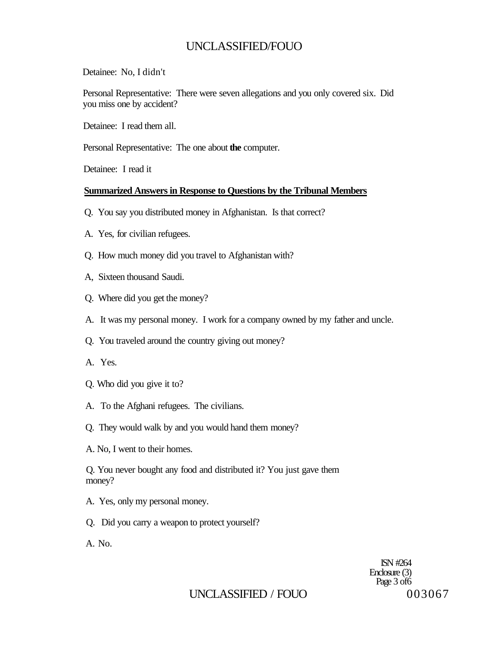Detainee: No, I didn't

Personal Representative: There were seven allegations and you only covered six. Did you miss one by accident?

Detainee: I read them all.

Personal Representative: The one about **the** computer.

Detainee: I read it

### **Summarized Answers in Response to Questions by the Tribunal Members**

- Q. You say you distributed money in Afghanistan. Is that correct?
- A. Yes, for civilian refugees.
- Q. How much money did you travel to Afghanistan with?
- A, Sixteen thousand Saudi.
- Q. Where did you get the money?
- A. It was my personal money. I work for a company owned by my father and uncle.
- Q. You traveled around the country giving out money?
- A. Yes.
- Q. Who did you give it to?
- A. To the Afghani refugees. The civilians.
- Q. They would walk by and you would hand them money?
- A. No, I went to their homes.

Q. You never bought any food and distributed it? You just gave them money?

- A. Yes, only my personal money.
- Q. Did you carry a weapon to protect yourself?

A. No.

ISN #264 Enclosure (3) Page 3 of 6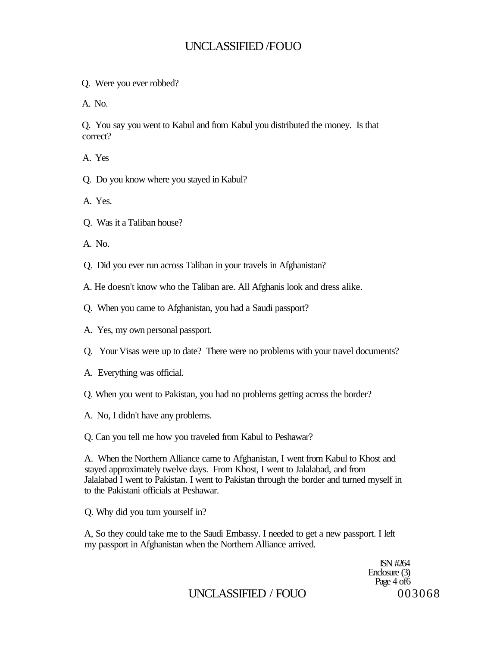- Q. Were you ever robbed?
- A. No.

Q. You say you went to Kabul and from Kabul you distributed the money. Is that correct?

- A. Yes
- Q. Do you know where you stayed in Kabul?
- A. Yes.
- Q. Was it a Taliban house?
- A. No.
- Q. Did you ever run across Taliban in your travels in Afghanistan?
- A. He doesn't know who the Taliban are. All Afghanis look and dress alike.
- Q. When you came to Afghanistan, you had a Saudi passport?
- A. Yes, my own personal passport.
- Q. Your Visas were up to date? There were no problems with your travel documents?
- A. Everything was official.
- Q. When you went to Pakistan, you had no problems getting across the border?
- A. No, I didn't have any problems.
- Q. Can you tell me how you traveled from Kabul to Peshawar?

A. When the Northern Alliance came to Afghanistan, I went from Kabul to Khost and stayed approximately twelve days. From Khost, I went to Jalalabad, and from Jalalabad I went to Pakistan. I went to Pakistan through the border and turned myself in to the Pakistani officials at Peshawar.

Q. Why did you turn yourself in?

A, So they could take me to the Saudi Embassy. I needed to get a new passport. I left my passport in Afghanistan when the Northern Alliance arrived.

> ISN #264 Enclosure (3) Page 4 of6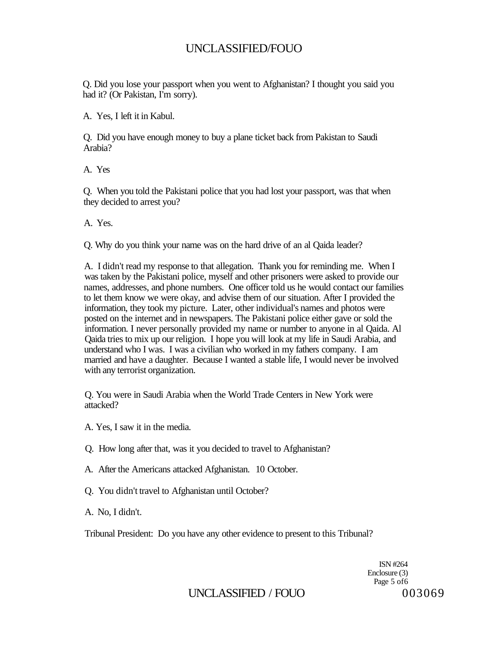Q. Did you lose your passport when you went to Afghanistan? I thought you said you had it? (Or Pakistan, I'm sorry).

A. Yes, I left it in Kabul.

Q. Did you have enough money to buy a plane ticket back from Pakistan to Saudi Arabia?

A. Yes

Q. When you told the Pakistani police that you had lost your passport, was that when they decided to arrest you?

A. Yes.

Q. Why do you think your name was on the hard drive of an al Qaida leader?

A. I didn't read my response to that allegation. Thank you for reminding me. When I was taken by the Pakistani police, myself and other prisoners were asked to provide our names, addresses, and phone numbers. One officer told us he would contact our families to let them know we were okay, and advise them of our situation. After I provided the information, they took my picture. Later, other individual's names and photos were posted on the internet and in newspapers. The Pakistani police either gave or sold the information. I never personally provided my name or number to anyone in al Qaida. Al Qaida tries to mix up our religion. I hope you will look at my life in Saudi Arabia, and understand who I was. I was a civilian who worked in my fathers company. I am married and have a daughter. Because I wanted a stable life, I would never be involved with any terrorist organization.

Q. You were in Saudi Arabia when the World Trade Centers in New York were attacked?

A. Yes, I saw it in the media.

Q. How long after that, was it you decided to travel to Afghanistan?

A. After the Americans attacked Afghanistan. 10 October.

Q. You didn't travel to Afghanistan until October?

A. No, I didn't.

Tribunal President: Do you have any other evidence to present to this Tribunal?

ISN #264 Enclosure (3) Page 5 of6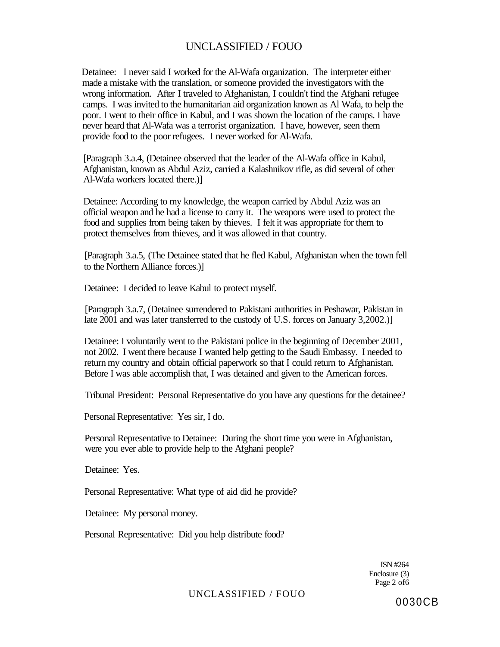Detainee: I never said I worked for the Al-Wafa organization. The interpreter either made a mistake with the translation, or someone provided the investigators with the wrong information. After I traveled to Afghanistan, I couldn't find the Afghani refugee camps. I was invited to the humanitarian aid organization known as Al Wafa, to help the poor. I went to their office in Kabul, and I was shown the location of the camps. I have never heard that Al-Wafa was a terrorist organization. I have, however, seen them provide food to the poor refugees. I never worked for Al-Wafa.

[Paragraph 3.a.4, (Detainee observed that the leader of the Al-Wafa office in Kabul, Afghanistan, known as Abdul Aziz, carried a Kalashnikov rifle, as did several of other Al-Wafa workers located there.)]

Detainee: According to my knowledge, the weapon carried by Abdul Aziz was an official weapon and he had a license to carry it. The weapons were used to protect the food and supplies from being taken by thieves. I felt it was appropriate for them to protect themselves from thieves, and it was allowed in that country.

[Paragraph 3.a.5, (The Detainee stated that he fled Kabul, Afghanistan when the town fell to the Northern Alliance forces.)]

Detainee: I decided to leave Kabul to protect myself.

[Paragraph 3.a.7, (Detainee surrendered to Pakistani authorities in Peshawar, Pakistan in late 2001 and was later transferred to the custody of U.S. forces on January 3,2002.)]

Detainee: I voluntarily went to the Pakistani police in the beginning of December 2001, not 2002. I went there because I wanted help getting to the Saudi Embassy. I needed to return my country and obtain official paperwork so that I could return to Afghanistan. Before I was able accomplish that, I was detained and given to the American forces.

Tribunal President: Personal Representative do you have any questions for the detainee?

Personal Representative: Yes sir, I do.

Personal Representative to Detainee: During the short time you were in Afghanistan, were you ever able to provide help to the Afghani people?

Detainee: Yes.

Personal Representative: What type of aid did he provide?

Detainee: My personal money.

Personal Representative: Did you help distribute food?

ISN #264 Enclosure (3) Page 2 of6

#### UNCLASSIFIED / FOUO

0030CB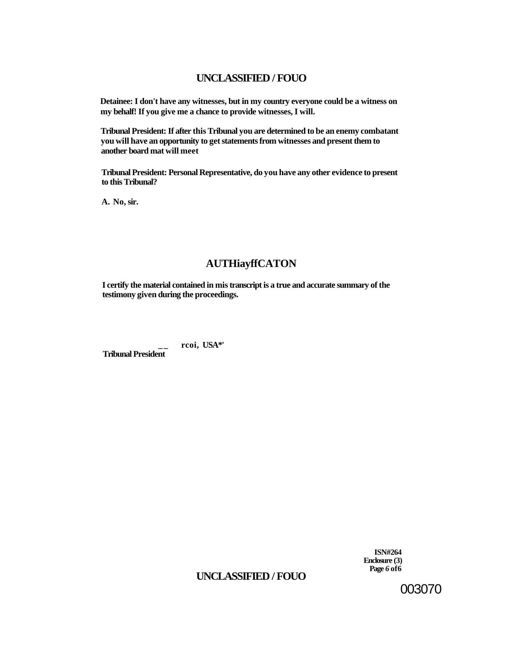**Detainee: I don't have any witnesses, but in my country everyone could be a witness on my behalf! If you give me a chance to provide witnesses, I will.** 

**Tribunal President: If after this Tribunal you are determined to be an enemy combatant you will have an opportunity to get statements from witnesses and present them to another board mat will meet** 

**Tribunal President: Personal Representative, do you have any other evidence to present to this Tribunal?** 

**A. No, sir.** 

# **AUTHiayffCATON**

**I certify the material contained in mis transcript is a true and accurate summary of the testimony given during the proceedings.** 

**\_ \_ rcoi, USA\*' Tribunal President** 

> **ISN#264 Enclosure (3) Page** *6* **of6**

# **UNCLASSIFIED / FOUO**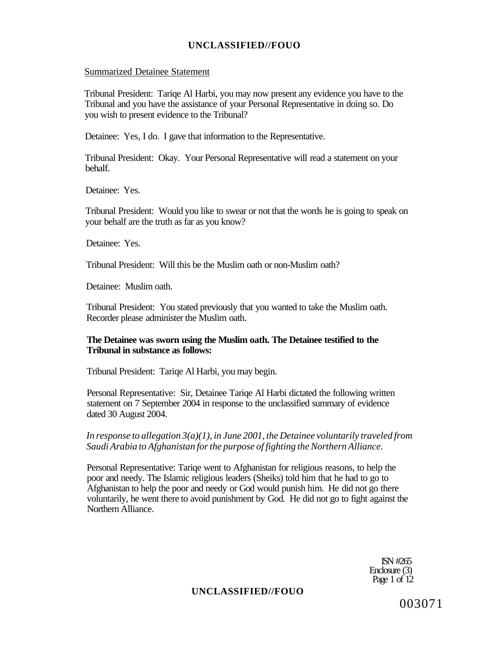#### Summarized Detainee Statement

Tribunal President: Tariqe Al Harbi, you may now present any evidence you have to the Tribunal and you have the assistance of your Personal Representative in doing so. Do you wish to present evidence to the Tribunal?

Detainee: Yes, I do. I gave that information to the Representative.

Tribunal President: Okay. Your Personal Representative will read a statement on your behalf.

Detainee: Yes.

Tribunal President: Would you like to swear or not that the words he is going to speak on your behalf are the truth as far as you know?

Detainee: Yes.

Tribunal President: Will this be the Muslim oath or non-Muslim oath?

Detainee: Muslim oath.

Tribunal President: You stated previously that you wanted to take the Muslim oath. Recorder please administer the Muslim oath.

### **The Detainee was sworn using the Muslim oath. The Detainee testified to the Tribunal in substance as follows:**

Tribunal President: Tariqe Al Harbi, you may begin.

Personal Representative: Sir, Detainee Tariqe Al Harbi dictated the following written statement on 7 September 2004 in response to the unclassified summary of evidence dated 30 August 2004.

*In response to allegation 3(a)(1), in June 2001, the Detainee voluntarily traveled from Saudi Arabia to Afghanistan for the purpose of fighting the Northern Alliance.* 

Personal Representative: Tariqe went to Afghanistan for religious reasons, to help the poor and needy. The Islamic religious leaders (Sheiks) told him that he had to go to Afghanistan to help the poor and needy or God would punish him. He did not go there voluntarily, he went there to avoid punishment by God. He did not go to fight against the Northern Alliance.

> ISN #265 Enclosure (3) Page 1 of 12

### **UNCLASSIFIED//FOUO**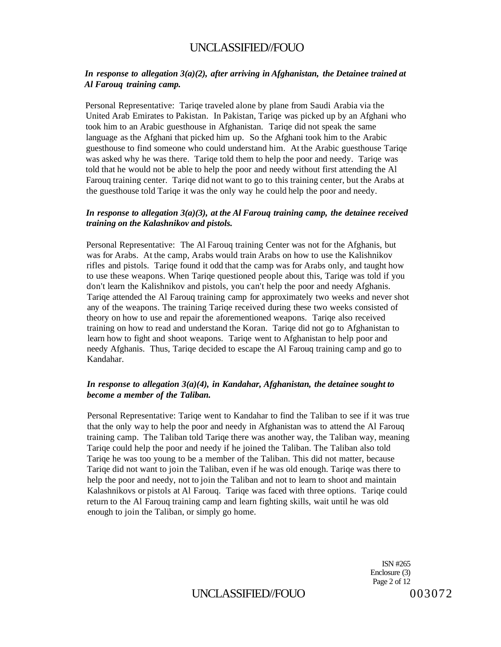### *In response to allegation 3(a)(2), after arriving in Afghanistan, the Detainee trained at Al Farouq training camp.*

Personal Representative: Tariqe traveled alone by plane from Saudi Arabia via the United Arab Emirates to Pakistan. In Pakistan, Tariqe was picked up by an Afghani who took him to an Arabic guesthouse in Afghanistan. Tariqe did not speak the same language as the Afghani that picked him up. So the Afghani took him to the Arabic guesthouse to find someone who could understand him. At the Arabic guesthouse Tariqe was asked why he was there. Tariqe told them to help the poor and needy. Tariqe was told that he would not be able to help the poor and needy without first attending the Al Farouq training center. Tariqe did not want to go to this training center, but the Arabs at the guesthouse told Tariqe it was the only way he could help the poor and needy.

### *In response to allegation 3(a)(3), at the Al Farouq training camp, the detainee received training on the Kalashnikov and pistols.*

Personal Representative: The Al Farouq training Center was not for the Afghanis, but was for Arabs. At the camp, Arabs would train Arabs on how to use the Kalishnikov rifles and pistols. Tariqe found it odd that the camp was for Arabs only, and taught how to use these weapons. When Tariqe questioned people about this, Tariqe was told if you don't learn the Kalishnikov and pistols, you can't help the poor and needy Afghanis. Tariqe attended the Al Farouq training camp for approximately two weeks and never shot any of the weapons. The training Tariqe received during these two weeks consisted of theory on how to use and repair the aforementioned weapons. Tariqe also received training on how to read and understand the Koran. Tariqe did not go to Afghanistan to learn how to fight and shoot weapons. Tariqe went to Afghanistan to help poor and needy Afghanis. Thus, Tariqe decided to escape the Al Farouq training camp and go to Kandahar.

### *In response to allegation 3(a)(4), in Kandahar, Afghanistan, the detainee sought to become a member of the Taliban.*

Personal Representative: Tariqe went to Kandahar to find the Taliban to see if it was true that the only way to help the poor and needy in Afghanistan was to attend the Al Farouq training camp. The Taliban told Tariqe there was another way, the Taliban way, meaning Tariqe could help the poor and needy if he joined the Taliban. The Taliban also told Tariqe he was too young to be a member of the Taliban. This did not matter, because Tariqe did not want to join the Taliban, even if he was old enough. Tariqe was there to help the poor and needy, not to join the Taliban and not to learn to shoot and maintain Kalashnikovs or pistols at Al Farouq. Tariqe was faced with three options. Tariqe could return to the Al Farouq training camp and learn fighting skills, wait until he was old enough to join the Taliban, or simply go home.

> ISN #265 Enclosure (3) Page 2 of 12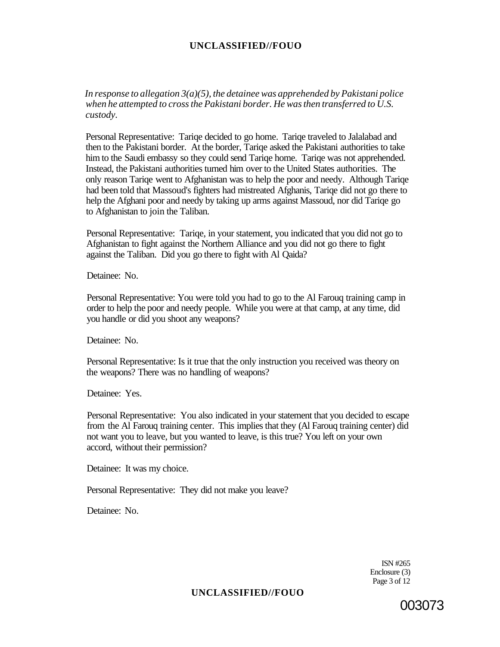*In response to allegation 3(a)(5), the detainee was apprehended by Pakistani police when he attempted to cross the Pakistani border. He was then transferred to U.S. custody.* 

Personal Representative: Tariqe decided to go home. Tariqe traveled to Jalalabad and then to the Pakistani border. At the border, Tariqe asked the Pakistani authorities to take him to the Saudi embassy so they could send Tariqe home. Tariqe was not apprehended. Instead, the Pakistani authorities turned him over to the United States authorities. The only reason Tariqe went to Afghanistan was to help the poor and needy. Although Tariqe had been told that Massoud's fighters had mistreated Afghanis, Tariqe did not go there to help the Afghani poor and needy by taking up arms against Massoud, nor did Tariqe go to Afghanistan to join the Taliban.

Personal Representative: Tariqe, in your statement, you indicated that you did not go to Afghanistan to fight against the Northern Alliance and you did not go there to fight against the Taliban. Did you go there to fight with Al Qaida?

Detainee: No.

Personal Representative: You were told you had to go to the Al Farouq training camp in order to help the poor and needy people. While you were at that camp, at any time, did you handle or did you shoot any weapons?

Detainee: No.

Personal Representative: Is it true that the only instruction you received was theory on the weapons? There was no handling of weapons?

Detainee: Yes.

Personal Representative: You also indicated in your statement that you decided to escape from the Al Farouq training center. This implies that they (Al Farouq training center) did not want you to leave, but you wanted to leave, is this true? You left on your own accord, without their permission?

Detainee: It was my choice.

Personal Representative: They did not make you leave?

Detainee: No.

ISN #265 Enclosure (3) Page 3 of 12

### **UNCLASSIFIED//FOUO**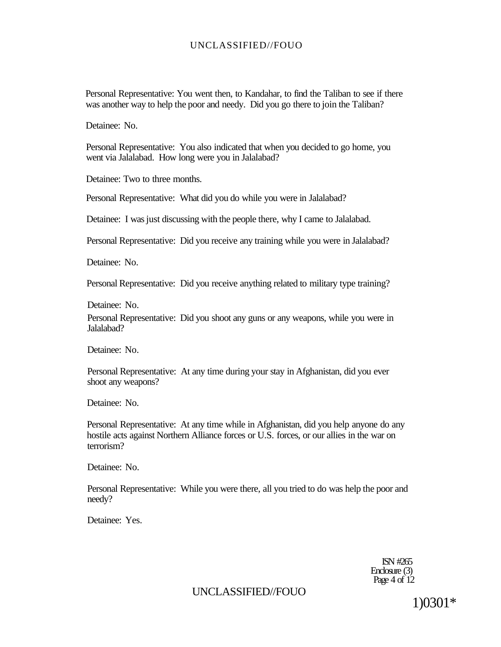Personal Representative: You went then, to Kandahar, to find the Taliban to see if there was another way to help the poor and needy. Did you go there to join the Taliban?

Detainee: No.

Personal Representative: You also indicated that when you decided to go home, you went via Jalalabad. How long were you in Jalalabad?

Detainee: Two to three months.

Personal Representative: What did you do while you were in Jalalabad?

Detainee: I was just discussing with the people there, why I came to Jalalabad.

Personal Representative: Did you receive any training while you were in Jalalabad?

Detainee: No.

Personal Representative: Did you receive anything related to military type training?

Detainee: No.

Personal Representative: Did you shoot any guns or any weapons, while you were in Jalalabad?

Detainee: No.

Personal Representative: At any time during your stay in Afghanistan, did you ever shoot any weapons?

Detainee: No.

Personal Representative: At any time while in Afghanistan, did you help anyone do any hostile acts against Northern Alliance forces or U.S. forces, or our allies in the war on terrorism?

Detainee: No.

Personal Representative: While you were there, all you tried to do was help the poor and needy?

Detainee: Yes.

ISN #265 Enclosure (3) Page 4 of  $12$ 

# UNCLASSIFIED//FOUO

1)0301\*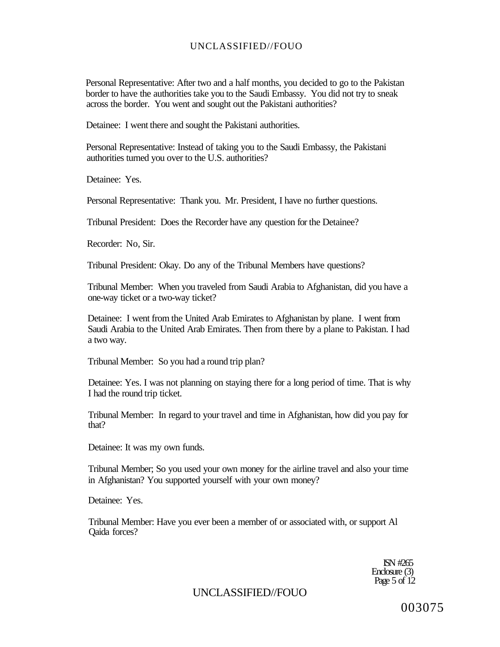Personal Representative: After two and a half months, you decided to go to the Pakistan border to have the authorities take you to the Saudi Embassy. You did not try to sneak across the border. You went and sought out the Pakistani authorities?

Detainee: I went there and sought the Pakistani authorities.

Personal Representative: Instead of taking you to the Saudi Embassy, the Pakistani authorities turned you over to the U.S. authorities?

Detainee: Yes.

Personal Representative: Thank you. Mr. President, I have no further questions.

Tribunal President: Does the Recorder have any question for the Detainee?

Recorder: No, Sir.

Tribunal President: Okay. Do any of the Tribunal Members have questions?

Tribunal Member: When you traveled from Saudi Arabia to Afghanistan, did you have a one-way ticket or a two-way ticket?

Detainee: I went from the United Arab Emirates to Afghanistan by plane. I went from Saudi Arabia to the United Arab Emirates. Then from there by a plane to Pakistan. I had a two way.

Tribunal Member: So you had a round trip plan?

Detainee: Yes. I was not planning on staying there for a long period of time. That is why I had the round trip ticket.

Tribunal Member: In regard to your travel and time in Afghanistan, how did you pay for that?

Detainee: It was my own funds.

Tribunal Member; So you used your own money for the airline travel and also your time in Afghanistan? You supported yourself with your own money?

Detainee: Yes.

Tribunal Member: Have you ever been a member of or associated with, or support Al Qaida forces?

> ISN #265 Enclosure (3) Page 5 of 12

# UNCLASSIFIED//FOUO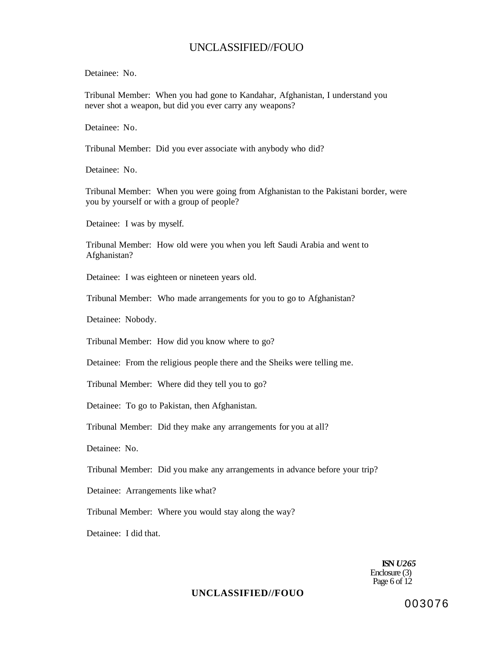Detainee: No.

Tribunal Member: When you had gone to Kandahar, Afghanistan, I understand you never shot a weapon, but did you ever carry any weapons?

Detainee: No.

Tribunal Member: Did you ever associate with anybody who did?

Detainee: No.

Tribunal Member: When you were going from Afghanistan to the Pakistani border, were you by yourself or with a group of people?

Detainee: I was by myself.

Tribunal Member: How old were you when you left Saudi Arabia and went to Afghanistan?

Detainee: I was eighteen or nineteen years old.

Tribunal Member: Who made arrangements for you to go to Afghanistan?

Detainee: Nobody.

Tribunal Member: How did you know where to go?

Detainee: From the religious people there and the Sheiks were telling me.

Tribunal Member: Where did they tell you to go?

Detainee: To go to Pakistan, then Afghanistan.

Tribunal Member: Did they make any arrangements for you at all?

Detainee: No.

Tribunal Member: Did you make any arrangements in advance before your trip?

Detainee: Arrangements like what?

Tribunal Member: Where you would stay along the way?

Detainee: I did that.

**ISN** *U265*  Enclosure (3) Page 6 of 12

### **UNCLASSIFIED//FOUO**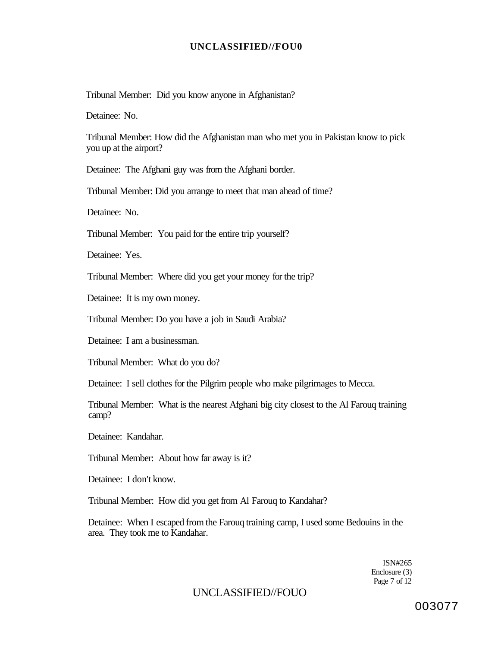Tribunal Member: Did you know anyone in Afghanistan?

Detainee: No.

Tribunal Member: How did the Afghanistan man who met you in Pakistan know to pick you up at the airport?

Detainee: The Afghani guy was from the Afghani border.

Tribunal Member: Did you arrange to meet that man ahead of time?

Detainee: No.

Tribunal Member: You paid for the entire trip yourself?

Detainee: Yes.

Tribunal Member: Where did you get your money for the trip?

Detainee: It is my own money.

Tribunal Member: Do you have a job in Saudi Arabia?

Detainee: I am a businessman.

Tribunal Member: What do you do?

Detainee: I sell clothes for the Pilgrim people who make pilgrimages to Mecca.

Tribunal Member: What is the nearest Afghani big city closest to the Al Farouq training camp?

Detainee: Kandahar.

Tribunal Member: About how far away is it?

Detainee: I don't know.

Tribunal Member: How did you get from Al Farouq to Kandahar?

Detainee: When I escaped from the Farouq training camp, I used some Bedouins in the area. They took me to Kandahar.

> ISN#265 Enclosure (3) Page 7 of 12

# UNCLASSIFIED//FOUO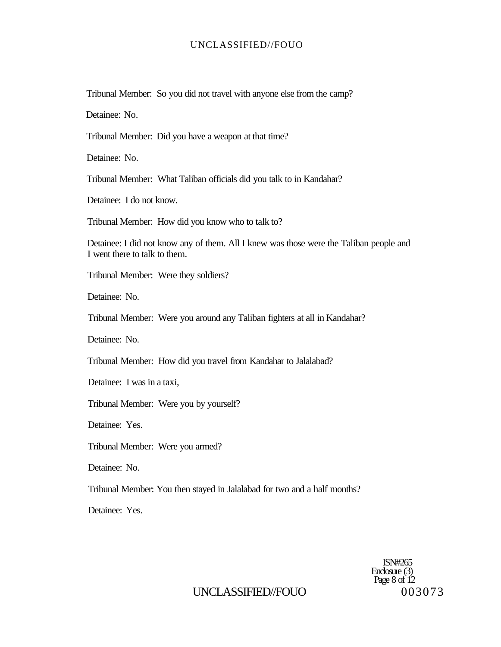Tribunal Member: So you did not travel with anyone else from the camp?

Detainee: No.

Tribunal Member: Did you have a weapon at that time?

Detainee: No.

Tribunal Member: What Taliban officials did you talk to in Kandahar?

Detainee: I do not know.

Tribunal Member: How did you know who to talk to?

Detainee: I did not know any of them. All I knew was those were the Taliban people and I went there to talk to them.

Tribunal Member: Were they soldiers?

Detainee: No.

Tribunal Member: Were you around any Taliban fighters at all in Kandahar?

Detainee: No.

Tribunal Member: How did you travel from Kandahar to Jalalabad?

Detainee: I was in a taxi,

Tribunal Member: Were you by yourself?

Detainee: Yes.

Tribunal Member: Were you armed?

Detainee: No.

Tribunal Member: You then stayed in Jalalabad for two and a half months?

Detainee: Yes.

ISN#265 Enclosure (3) Page 8 of 12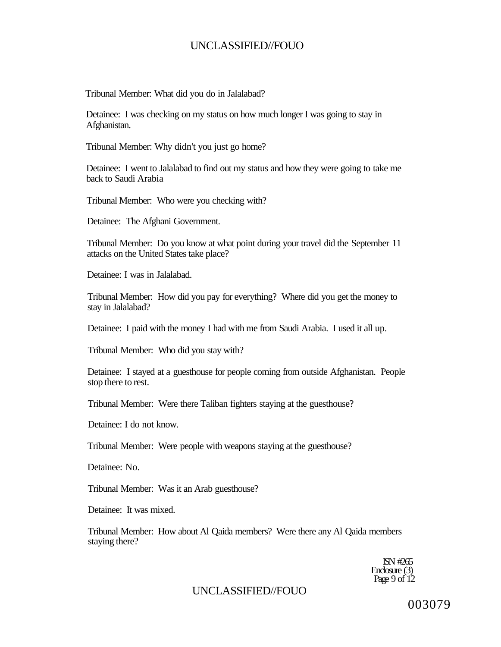Tribunal Member: What did you do in Jalalabad?

Detainee: I was checking on my status on how much longer I was going to stay in Afghanistan.

Tribunal Member: Why didn't you just go home?

Detainee: I went to Jalalabad to find out my status and how they were going to take me back to Saudi Arabia

Tribunal Member: Who were you checking with?

Detainee: The Afghani Government.

Tribunal Member: Do you know at what point during your travel did the September 11 attacks on the United States take place?

Detainee: I was in Jalalabad.

Tribunal Member: How did you pay for everything? Where did you get the money to stay in Jalalabad?

Detainee: I paid with the money I had with me from Saudi Arabia. I used it all up.

Tribunal Member: Who did you stay with?

Detainee: I stayed at a guesthouse for people coming from outside Afghanistan. People stop there to rest.

Tribunal Member: Were there Taliban fighters staying at the guesthouse?

Detainee: I do not know.

Tribunal Member: Were people with weapons staying at the guesthouse?

Detainee: No.

Tribunal Member: Was it an Arab guesthouse?

Detainee: It was mixed.

Tribunal Member: How about Al Qaida members? Were there any Al Qaida members staying there?

> ISN #265 Enclosure (3) Page 9 of 12

# UNCLASSIFIED//FOUO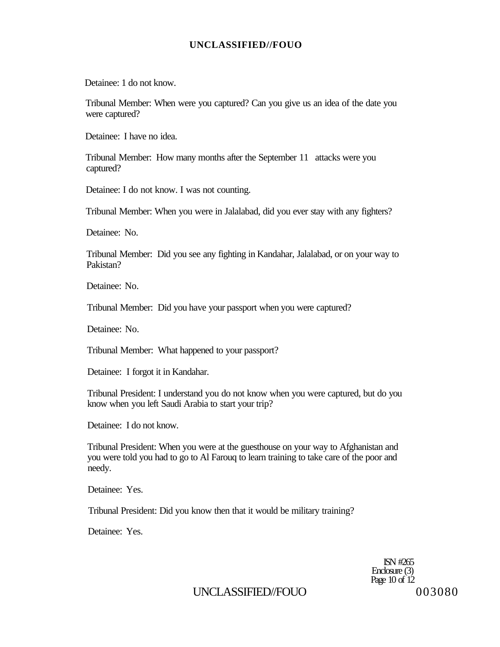Detainee: 1 do not know.

Tribunal Member: When were you captured? Can you give us an idea of the date you were captured?

Detainee: I have no idea.

Tribunal Member: How many months after the September 11 attacks were you captured?

Detainee: I do not know. I was not counting.

Tribunal Member: When you were in Jalalabad, did you ever stay with any fighters?

Detainee: No.

Tribunal Member: Did you see any fighting in Kandahar, Jalalabad, or on your way to Pakistan?

Detainee: No.

Tribunal Member: Did you have your passport when you were captured?

Detainee: No.

Tribunal Member: What happened to your passport?

Detainee: I forgot it in Kandahar.

Tribunal President: I understand you do not know when you were captured, but do you know when you left Saudi Arabia to start your trip?

Detainee: I do not know.

Tribunal President: When you were at the guesthouse on your way to Afghanistan and you were told you had to go to Al Farouq to learn training to take care of the poor and needy.

Detainee: Yes.

Tribunal President: Did you know then that it would be military training?

Detainee: Yes.

ISN #265 Enclosure (3) Page 10 of 12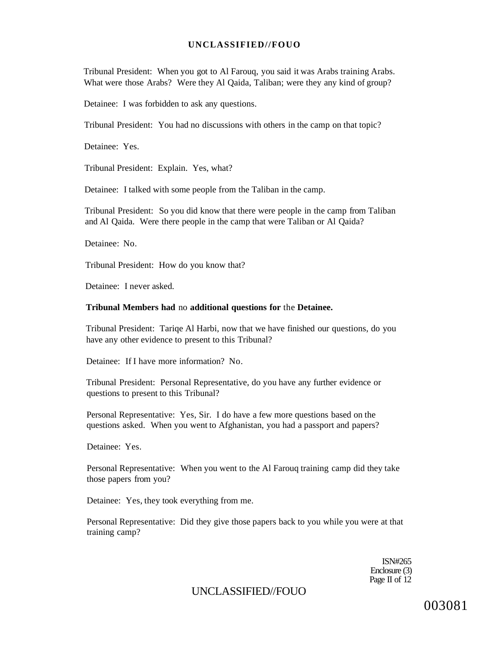Tribunal President: When you got to Al Farouq, you said it was Arabs training Arabs. What were those Arabs? Were they Al Qaida, Taliban; were they any kind of group?

Detainee: I was forbidden to ask any questions.

Tribunal President: You had no discussions with others in the camp on that topic?

Detainee: Yes.

Tribunal President: Explain. Yes, what?

Detainee: I talked with some people from the Taliban in the camp.

Tribunal President: So you did know that there were people in the camp from Taliban and Al Qaida. Were there people in the camp that were Taliban or Al Qaida?

Detainee: No.

Tribunal President: How do you know that?

Detainee: I never asked.

#### **Tribunal Members had** no **additional questions for** the **Detainee.**

Tribunal President: Tariqe Al Harbi, now that we have finished our questions, do you have any other evidence to present to this Tribunal?

Detainee: If I have more information? No.

Tribunal President: Personal Representative, do you have any further evidence or questions to present to this Tribunal?

Personal Representative: Yes, Sir. I do have a few more questions based on the questions asked. When you went to Afghanistan, you had a passport and papers?

Detainee: Yes.

Personal Representative: When you went to the Al Farouq training camp did they take those papers from you?

Detainee: Yes, they took everything from me.

Personal Representative: Did they give those papers back to you while you were at that training camp?

> ISN#265 Enclosure (3) Page II of 12

UNCLASSIFIED//FOUO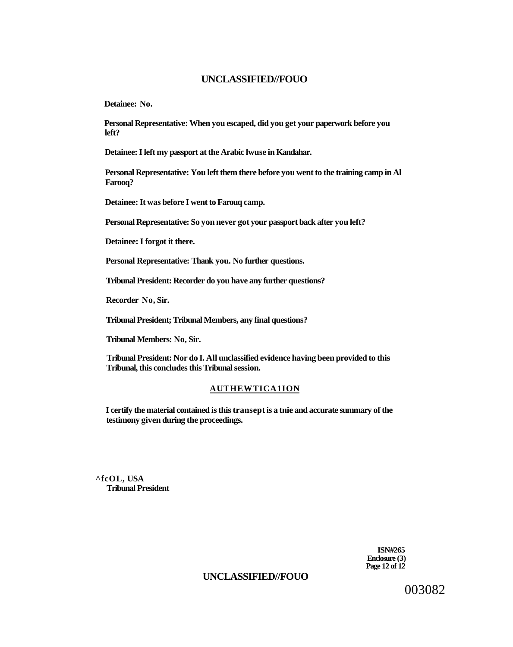**Detainee: No.** 

**Personal Representative: When you escaped, did you get your paperwork before you left?** 

**Detainee: I left my passport at the Arabic lwuse in Kandahar.** 

**Personal Representative: You left them there before you went to the training camp in Al Farooq?** 

**Detainee: It was before I went to Farouq camp.** 

**Personal Representative: So yon never got your passport back after you left?** 

**Detainee: I forgot it there.** 

**Personal Representative: Thank you. No further questions.** 

**Tribunal President: Recorder do you have any further questions?** 

**Recorder No, Sir.** 

**Tribunal President; Tribunal Members, any final questions?** 

**Tribunal Members: No, Sir.** 

**Tribunal President: Nor do I. All unclassified evidence having been provided to this Tribunal, this concludes this Tribunal session.** 

#### **AUTHEWTICA1ION**

**I certify the material contained is this transept is a tnie and accurate summary of the testimony given during the proceedings.** 

**^fcOL, USA Tribunal President** 

> **ISN#265 Enclosure (3) Page 12 of 12**

# **UNCLASSIFIED//FOUO**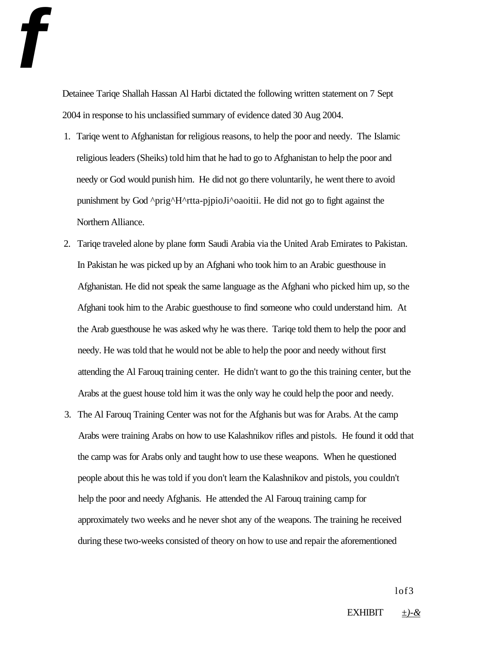Detainee Tariqe Shallah Hassan Al Harbi dictated the following written statement on 7 Sept 2004 in response to his unclassified summary of evidence dated 30 Aug 2004.

**f** 

- 1. Tariqe went to Afghanistan for religious reasons, to help the poor and needy. The Islamic religious leaders (Sheiks) told him that he had to go to Afghanistan to help the poor and needy or God would punish him. He did not go there voluntarily, he went there to avoid punishment by God ^prig^H^rtta-pjpioJi^oaoitii. He did not go to fight against the Northern Alliance.
- 2. Tariqe traveled alone by plane form Saudi Arabia via the United Arab Emirates to Pakistan. In Pakistan he was picked up by an Afghani who took him to an Arabic guesthouse in Afghanistan. He did not speak the same language as the Afghani who picked him up, so the Afghani took him to the Arabic guesthouse to find someone who could understand him. At the Arab guesthouse he was asked why he was there. Tariqe told them to help the poor and needy. He was told that he would not be able to help the poor and needy without first attending the Al Farouq training center. He didn't want to go the this training center, but the Arabs at the guest house told him it was the only way he could help the poor and needy.
- 3. The Al Farouq Training Center was not for the Afghanis but was for Arabs. At the camp Arabs were training Arabs on how to use Kalashnikov rifles and pistols. He found it odd that the camp was for Arabs only and taught how to use these weapons. When he questioned people about this he was told if you don't learn the Kalashnikov and pistols, you couldn't help the poor and needy Afghanis. He attended the Al Farouq training camp for approximately two weeks and he never shot any of the weapons. The training he received during these two-weeks consisted of theory on how to use and repair the aforementioned

lof3

EXHIBIT *±)-&*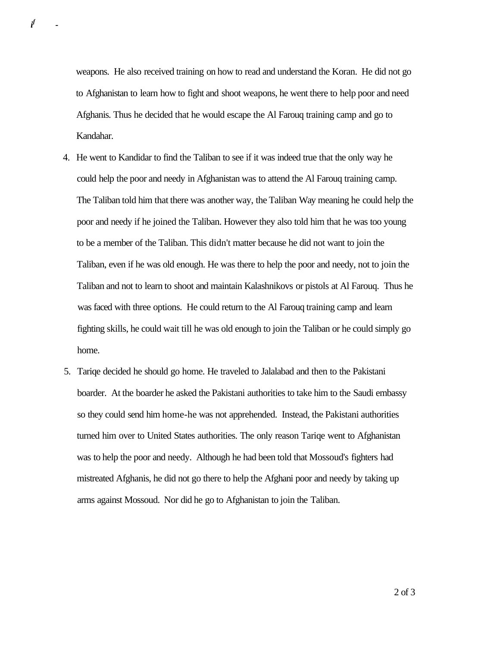weapons. He also received training on how to read and understand the Koran. He did not go to Afghanistan to learn how to fight and shoot weapons, he went there to help poor and need Afghanis. Thus he decided that he would escape the Al Farouq training camp and go to Kandahar.

*i f -*

- 4. He went to Kandidar to find the Taliban to see if it was indeed true that the only way he could help the poor and needy in Afghanistan was to attend the Al Farouq training camp. The Taliban told him that there was another way, the Taliban Way meaning he could help the poor and needy if he joined the Taliban. However they also told him that he was too young to be a member of the Taliban. This didn't matter because he did not want to join the Taliban, even if he was old enough. He was there to help the poor and needy, not to join the Taliban and not to learn to shoot and maintain Kalashnikovs or pistols at Al Farouq. Thus he was faced with three options. He could return to the Al Farouq training camp and learn fighting skills, he could wait till he was old enough to join the Taliban or he could simply go home.
- 5. Tariqe decided he should go home. He traveled to Jalalabad and then to the Pakistani boarder. At the boarder he asked the Pakistani authorities to take him to the Saudi embassy so they could send him home-he was not apprehended. Instead, the Pakistani authorities turned him over to United States authorities. The only reason Tariqe went to Afghanistan was to help the poor and needy. Although he had been told that Mossoud's fighters had mistreated Afghanis, he did not go there to help the Afghani poor and needy by taking up arms against Mossoud. Nor did he go to Afghanistan to join the Taliban.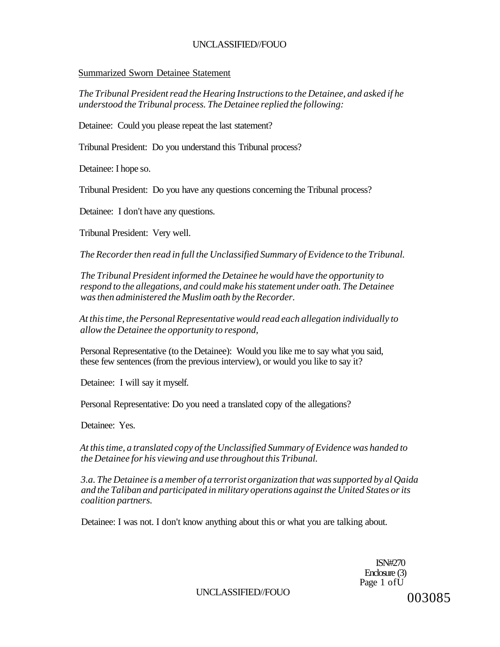### Summarized Sworn Detainee Statement

*The Tribunal President read the Hearing Instructions to the Detainee, and asked if he understood the Tribunal process. The Detainee replied the following:* 

Detainee: Could you please repeat the last statement?

Tribunal President: Do you understand this Tribunal process?

Detainee: I hope so.

Tribunal President: Do you have any questions concerning the Tribunal process?

Detainee: I don't have any questions.

Tribunal President: Very well.

*The Recorder then read in full the Unclassified Summary of Evidence to the Tribunal.* 

*The Tribunal President informed the Detainee he would have the opportunity to respond to the allegations, and could make his statement under oath. The Detainee was then administered the Muslim oath by the Recorder.* 

*At this time, the Personal Representative would read each allegation individually to allow the Detainee the opportunity to respond,* 

Personal Representative (to the Detainee): Would you like me to say what you said, these few sentences (from the previous interview), or would you like to say it?

Detainee: I will say it myself.

Personal Representative: Do you need a translated copy of the allegations?

Detainee: Yes.

*At this time, a translated copy of the Unclassified Summary of Evidence was handed to the Detainee for his viewing and use throughout this Tribunal.* 

*3.a. The Detainee is a member of a terrorist organization that was supported by al Qaida and the Taliban and participated in military operations against the United States or its coalition partners.* 

Detainee: I was not. I don't know anything about this or what you are talking about.

ISN#270 Enclosure (3) Page 1 ofU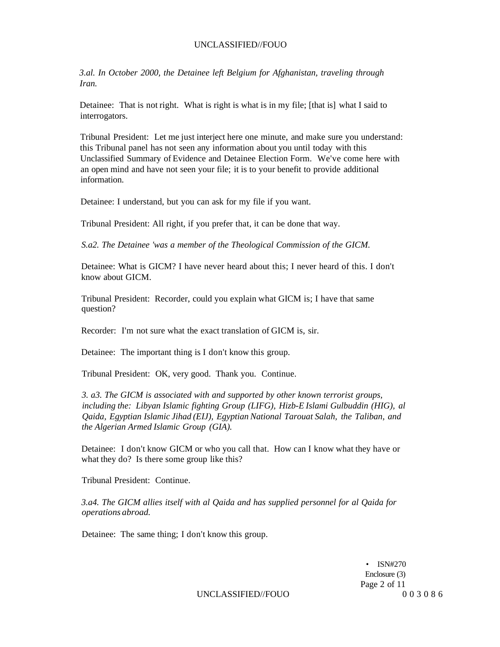*3.al. In October 2000, the Detainee left Belgium for Afghanistan, traveling through Iran.* 

Detainee: That is not right. What is right is what is in my file; [that is] what I said to interrogators.

Tribunal President: Let me just interject here one minute, and make sure you understand: this Tribunal panel has not seen any information about you until today with this Unclassified Summary of Evidence and Detainee Election Form. We've come here with an open mind and have not seen your file; it is to your benefit to provide additional information.

Detainee: I understand, but you can ask for my file if you want.

Tribunal President: All right, if you prefer that, it can be done that way.

*S.a2. The Detainee 'was a member of the Theological Commission of the GICM.* 

Detainee: What is GICM? I have never heard about this; I never heard of this. I don't know about GICM.

Tribunal President: Recorder, could you explain what GICM is; I have that same question?

Recorder: I'm not sure what the exact translation of GICM is, sir.

Detainee: The important thing is I don't know this group.

Tribunal President: OK, very good. Thank you. Continue.

*3. a3. The GICM is associated with and supported by other known terrorist groups, including the: Libyan Islamic fighting Group (LIFG), Hizb-E Islami Gulbuddin (HIG), al Qaida, Egyptian Islamic Jihad (EIJ), Egyptian National Tarouat Salah, the Taliban, and the Algerian Armed Islamic Group (GIA).* 

Detainee: I don't know GICM or who you call that. How can I know what they have or what they do? Is there some group like this?

Tribunal President: Continue.

*3.a4. The GICM allies itself with al Qaida and has supplied personnel for al Qaida for operations abroad.* 

Detainee: The same thing; I don't know this group.

• ISN#270 Enclosure (3) Page 2 of 11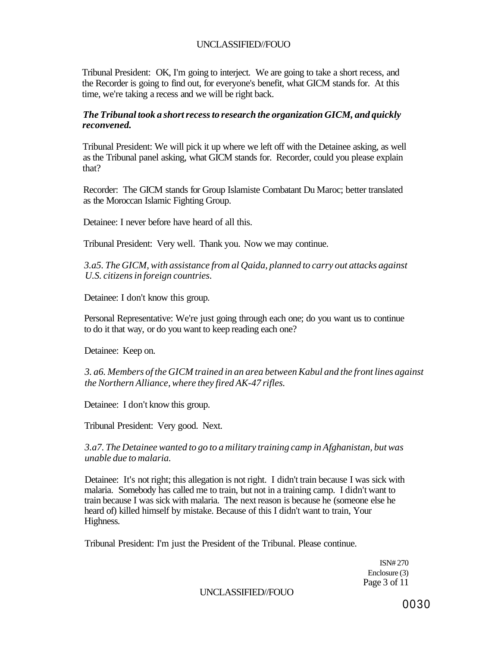Tribunal President: OK, I'm going to interject. We are going to take a short recess, and the Recorder is going to find out, for everyone's benefit, what GICM stands for. At this time, we're taking a recess and we will be right back.

### *The Tribunal took a short recess to research the organization GICM, and quickly reconvened.*

Tribunal President: We will pick it up where we left off with the Detainee asking, as well as the Tribunal panel asking, what GICM stands for. Recorder, could you please explain that?

Recorder: The GICM stands for Group Islamiste Combatant Du Maroc; better translated as the Moroccan Islamic Fighting Group.

Detainee: I never before have heard of all this.

Tribunal President: Very well. Thank you. Now we may continue.

*3.a5. The GICM, with assistance from al Qaida, planned to carry out attacks against U.S. citizens in foreign countries.* 

Detainee: I don't know this group.

Personal Representative: We're just going through each one; do you want us to continue to do it that way, or do you want to keep reading each one?

Detainee: Keep on.

*3. a6. Members of the GICM trained in an area between Kabul and the front lines against the Northern Alliance, where they fired AK-47 rifles.* 

Detainee: I don't know this group.

Tribunal President: Very good. Next.

*3.a7. The Detainee wanted to go to a military training camp in Afghanistan, but was unable due to malaria.* 

Detainee: It's not right; this allegation is not right. I didn't train because I was sick with malaria. Somebody has called me to train, but not in a training camp. I didn't want to train because I was sick with malaria. The next reason is because he (someone else he heard of) killed himself by mistake. Because of this I didn't want to train, Your Highness.

Tribunal President: I'm just the President of the Tribunal. Please continue.

ISN# 270 Enclosure (3) Page 3 of 11

UNCLASSIFIED//FOUO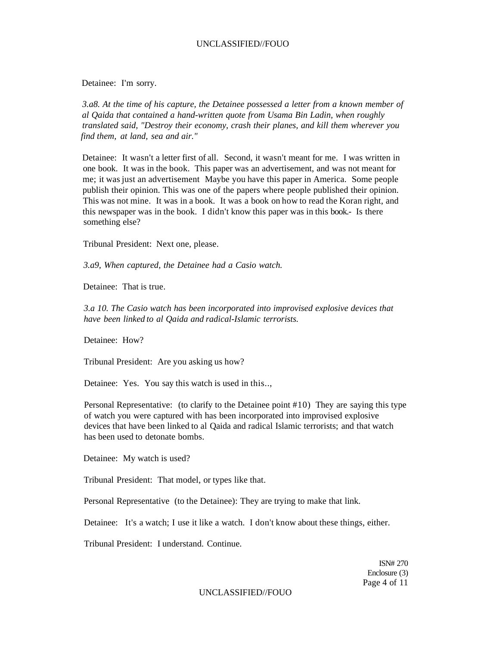Detainee: I'm sorry.

*3.a8. At the time of his capture, the Detainee possessed a letter from a known member of al Qaida that contained a hand-written quote from Usama Bin Ladin, when roughly translated said, "Destroy their economy, crash their planes, and kill them wherever you find them, at land, sea and air."* 

Detainee: It wasn't a letter first of all. Second, it wasn't meant for me. I was written in one book. It was in the book. This paper was an advertisement, and was not meant for me; it was just an advertisement Maybe you have this paper in America. Some people publish their opinion. This was one of the papers where people published their opinion. This was not mine. It was in a book. It was a book on how to read the Koran right, and this newspaper was in the book. I didn't know this paper was in this book.- Is there something else?

Tribunal President: Next one, please.

*3.a9, When captured, the Detainee had a Casio watch.* 

Detainee: That is true.

*3.a 10. The Casio watch has been incorporated into improvised explosive devices that have been linked to al Qaida and radical-Islamic terrorists.* 

Detainee: How?

Tribunal President: Are you asking us how?

Detainee: Yes. You say this watch is used in this..,

Personal Representative: (to clarify to the Detainee point #10) They are saying this type of watch you were captured with has been incorporated into improvised explosive devices that have been linked to al Qaida and radical Islamic terrorists; and that watch has been used to detonate bombs.

Detainee: My watch is used?

Tribunal President: That model, or types like that.

Personal Representative (to the Detainee): They are trying to make that link.

Detainee: It's a watch; I use it like a watch. I don't know about these things, either.

Tribunal President: I understand. Continue.

ISN# 270 Enclosure (3) Page 4 of 11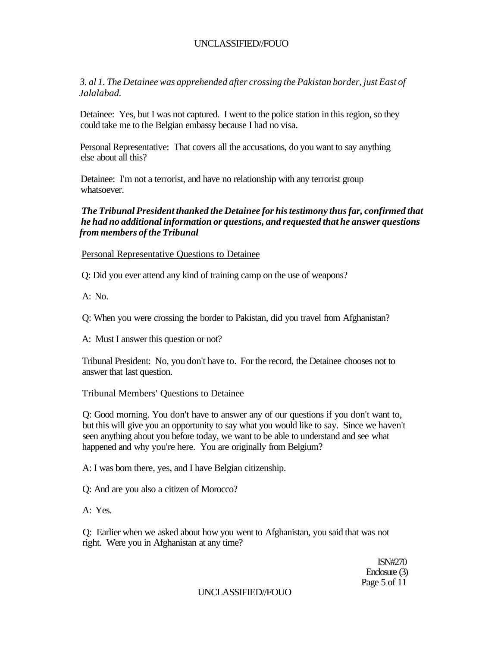*3. al 1. The Detainee was apprehended after crossing the Pakistan border, just East of Jalalabad.* 

Detainee: Yes, but I was not captured. I went to the police station in this region, so they could take me to the Belgian embassy because I had no visa.

Personal Representative: That covers all the accusations, do you want to say anything else about all this?

Detainee: I'm not a terrorist, and have no relationship with any terrorist group whatsoever.

### *The Tribunal President thanked the Detainee for his testimony thus far, confirmed that he had no additional information or questions, and requested that he answer questions from members of the Tribunal*

Personal Representative Questions to Detainee

Q: Did you ever attend any kind of training camp on the use of weapons?

A: No.

Q: When you were crossing the border to Pakistan, did you travel from Afghanistan?

A: Must I answer this question or not?

Tribunal President: No, you don't have to. For the record, the Detainee chooses not to answer that last question.

Tribunal Members' Questions to Detainee

Q: Good morning. You don't have to answer any of our questions if you don't want to, but this will give you an opportunity to say what you would like to say. Since we haven't seen anything about you before today, we want to be able to understand and see what happened and why you're here. You are originally from Belgium?

A: I was born there, yes, and I have Belgian citizenship.

Q: And are you also a citizen of Morocco?

A: Yes.

Q: Earlier when we asked about how you went to Afghanistan, you said that was not right. Were you in Afghanistan at any time?

> ISN#270 Enclosure (3) Page 5 of 11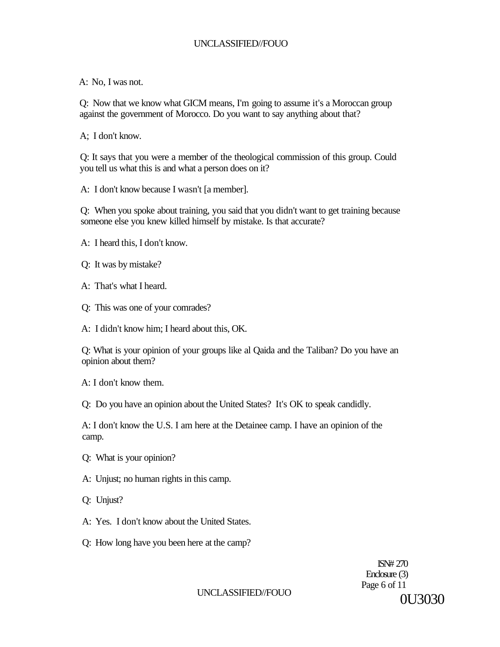A: No, I was not.

Q: Now that we know what GICM means, I'm going to assume it's a Moroccan group against the government of Morocco. Do you want to say anything about that?

A; I don't know.

Q: It says that you were a member of the theological commission of this group. Could you tell us what this is and what a person does on it?

A: I don't know because I wasn't [a member].

Q: When you spoke about training, you said that you didn't want to get training because someone else you knew killed himself by mistake. Is that accurate?

A: I heard this, I don't know.

Q: It was by mistake?

A: That's what I heard.

Q: This was one of your comrades?

A: I didn't know him; I heard about this, OK.

Q: What is your opinion of your groups like al Qaida and the Taliban? Do you have an opinion about them?

A: I don't know them.

Q: Do you have an opinion about the United States? It's OK to speak candidly.

A: I don't know the U.S. I am here at the Detainee camp. I have an opinion of the camp.

Q: What is your opinion?

A: Unjust; no human rights in this camp.

Q: Unjust?

- A: Yes. I don't know about the United States.
- Q: How long have you been here at the camp?

ISN# 270 Enclosure (3) Page 6 of 11 0U3030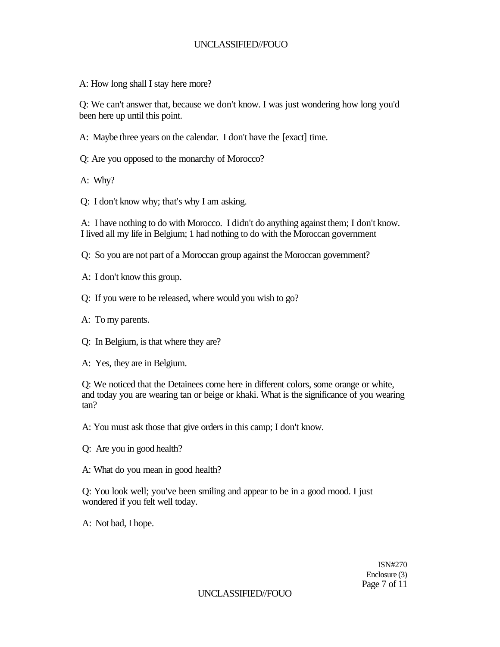A: How long shall I stay here more?

Q: We can't answer that, because we don't know. I was just wondering how long you'd been here up until this point.

A: Maybe three years on the calendar. I don't have the [exact] time.

Q: Are you opposed to the monarchy of Morocco?

A: Why?

Q: I don't know why; that's why I am asking.

A: I have nothing to do with Morocco. I didn't do anything against them; I don't know. I lived all my life in Belgium; 1 had nothing to do with the Moroccan government

Q: So you are not part of a Moroccan group against the Moroccan government?

- A: I don't know this group.
- Q: If you were to be released, where would you wish to go?
- A: To my parents.
- Q: In Belgium, is that where they are?
- A: Yes, they are in Belgium.

Q: We noticed that the Detainees come here in different colors, some orange or white, and today you are wearing tan or beige or khaki. What is the significance of you wearing tan?

A: You must ask those that give orders in this camp; I don't know.

- Q: Are you in good health?
- A: What do you mean in good health?

Q: You look well; you've been smiling and appear to be in a good mood. I just wondered if you felt well today.

A: Not bad, I hope.

ISN#270 Enclosure (3) Page 7 of 11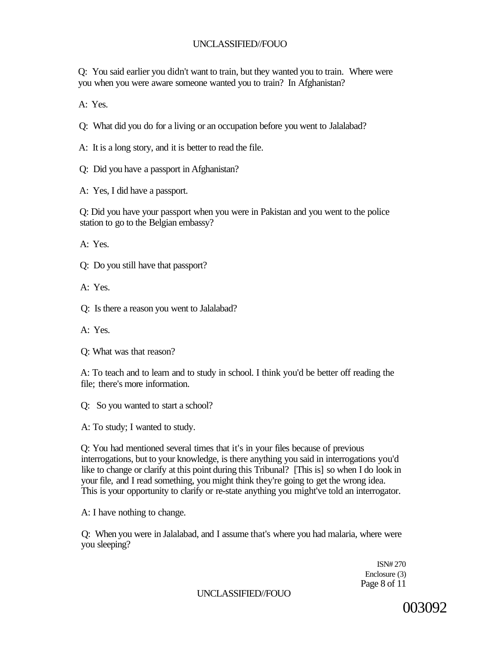Q: You said earlier you didn't want to train, but they wanted you to train. Where were you when you were aware someone wanted you to train? In Afghanistan?

A: Yes.

Q: What did you do for a living or an occupation before you went to Jalalabad?

A: It is a long story, and it is better to read the file.

Q: Did you have a passport in Afghanistan?

A: Yes, I did have a passport.

Q: Did you have your passport when you were in Pakistan and you went to the police station to go to the Belgian embassy?

A: Yes.

Q: Do you still have that passport?

A: Yes.

Q: Is there a reason you went to Jalalabad?

A: Yes.

Q: What was that reason?

A: To teach and to learn and to study in school. I think you'd be better off reading the file; there's more information.

Q: So you wanted to start a school?

A: To study; I wanted to study.

Q: You had mentioned several times that it's in your files because of previous interrogations, but to your knowledge, is there anything you said in interrogations you'd like to change or clarify at this point during this Tribunal? [This is] so when I do look in your file, and I read something, you might think they're going to get the wrong idea. This is your opportunity to clarify or re-state anything you might've told an interrogator.

A: I have nothing to change.

Q: When you were in Jalalabad, and I assume that's where you had malaria, where were you sleeping?

> ISN# 270 Enclosure (3) Page 8 of 11

UNCLASSIFIED//FOUO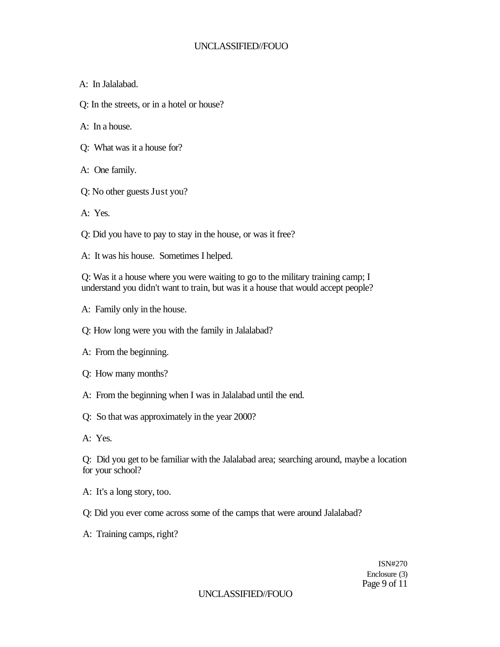A: In Jalalabad.

Q: In the streets, or in a hotel or house?

A: In a house.

- Q: What was it a house for?
- A: One family.
- Q: No other guests Just you?
- A: Yes.

Q: Did you have to pay to stay in the house, or was it free?

A: It was his house. Sometimes I helped.

Q: Was it a house where you were waiting to go to the military training camp; I understand you didn't want to train, but was it a house that would accept people?

- A: Family only in the house.
- Q: How long were you with the family in Jalalabad?
- A: From the beginning.
- Q: How many months?
- A: From the beginning when I was in Jalalabad until the end.
- Q: So that was approximately in the year 2000?
- A: Yes.

Q: Did you get to be familiar with the Jalalabad area; searching around, maybe a location for your school?

- A: It's a long story, too.
- Q: Did you ever come across some of the camps that were around Jalalabad?
- A: Training camps, right?

ISN#270 Enclosure (3) Page 9 of 11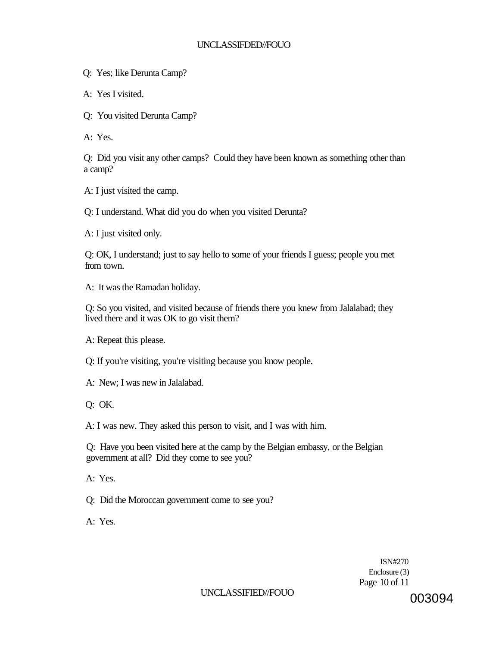Q: Yes; like Derunta Camp?

A: Yes I visited.

Q: You visited Derunta Camp?

A: Yes.

Q: Did you visit any other camps? Could they have been known as something other than a camp?

A: I just visited the camp.

Q: I understand. What did you do when you visited Derunta?

A: I just visited only.

Q: OK, I understand; just to say hello to some of your friends I guess; people you met from town.

A: It was the Ramadan holiday.

Q: So you visited, and visited because of friends there you knew from Jalalabad; they lived there and it was OK to go visit them?

A: Repeat this please.

Q: If you're visiting, you're visiting because you know people.

A: New; I was new in Jalalabad.

Q: OK.

A: I was new. They asked this person to visit, and I was with him.

Q: Have you been visited here at the camp by the Belgian embassy, or the Belgian government at all? Did they come to see you?

A: Yes.

Q: Did the Moroccan government come to see you?

A: Yes.

ISN#270 Enclosure (3) Page 10 of 11